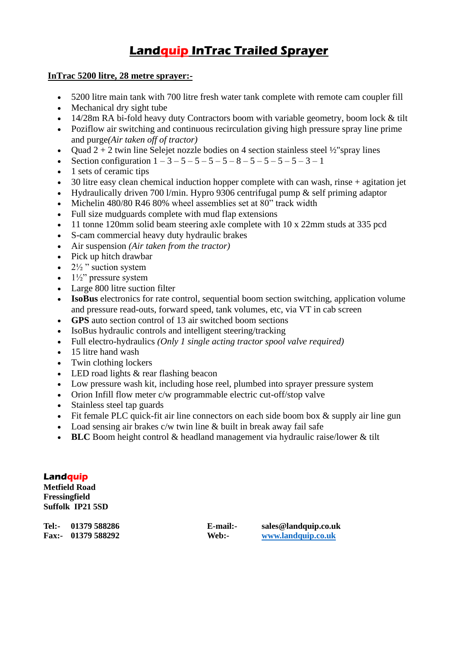## **Landquip InTrac Trailed Sprayer**

## **InTrac 5200 litre, 28 metre sprayer:-**

- 5200 litre main tank with 700 litre fresh water tank complete with remote cam coupler fill
- Mechanical dry sight tube
- 14/28m RA bi-fold heavy duty Contractors boom with variable geometry, boom lock & tilt
- Poziflow air switching and continuous recirculation giving high pressure spray line prime and purge*(Air taken off of tractor)*
- Quad  $2 + 2$  twin line Selejet nozzle bodies on 4 section stainless steel  $\frac{1}{2}$  spray lines
- Section configuration  $1 3 5 5 5 5 8 5 5 5 3 1$
- 1 sets of ceramic tips
- 30 litre easy clean chemical induction hopper complete with can wash, rinse + agitation jet
- Hydraulically driven 700 l/min. Hypro 9306 centrifugal pump & self priming adaptor
- Michelin 480/80 R46 80% wheel assemblies set at 80" track width
- Full size mudguards complete with mud flap extensions
- 11 tonne 120mm solid beam steering axle complete with 10 x 22mm studs at 335 pcd
- S-cam commercial heavy duty hydraulic brakes
- Air suspension *(Air taken from the tractor)*
- Pick up hitch drawbar
- $2\frac{1}{2}$  " suction system
- $1\frac{1}{2}$ " pressure system
- Large 800 litre suction filter
- **IsoBus** electronics for rate control, sequential boom section switching, application volume and pressure read-outs, forward speed, tank volumes, etc, via VT in cab screen
- **GPS** auto section control of 13 air switched boom sections
- IsoBus hydraulic controls and intelligent steering/tracking
- Full electro-hydraulics *(Only 1 single acting tractor spool valve required)*
- 15 litre hand wash
- Twin clothing lockers
- LED road lights & rear flashing beacon
- Low pressure wash kit, including hose reel, plumbed into sprayer pressure system
- Orion Infill flow meter c/w programmable electric cut-off/stop valve
- Stainless steel tap guards
- Fit female PLC quick-fit air line connectors on each side boom box & supply air line gun
- Load sensing air brakes c/w twin line & built in break away fail safe
- **BLC** Boom height control & headland management via hydraulic raise/lower & tilt

## **Landquip**

**Metfield Road Fressingfield Suffolk IP21 5SD**

**Tel:- 01379 588286 E-mail:- sales@landquip.co.uk Fax:- 01379 588292 Web:- [www.landquip.co.uk](http://www.landquip.co.uk/)**